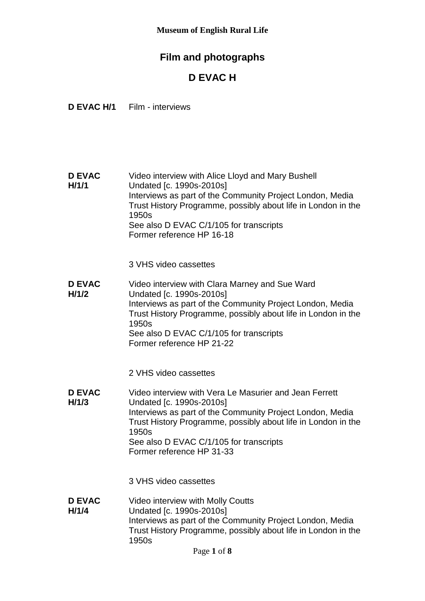# **Film and photographs**

# **D EVAC H**

**D EVAC H/1** Film - interviews

**D EVAC H/1/1** Video interview with Alice Lloyd and Mary Bushell Undated [c. 1990s-2010s] Interviews as part of the Community Project London, Media Trust History Programme, possibly about life in London in the 1950s See also D EVAC C/1/105 for transcripts Former reference HP 16-18

3 VHS video cassettes

**D EVAC H/1/2** Video interview with Clara Marney and Sue Ward Undated [c. 1990s-2010s] Interviews as part of the Community Project London, Media Trust History Programme, possibly about life in London in the 1950s See also D EVAC C/1/105 for transcripts Former reference HP 21-22

2 VHS video cassettes

**D EVAC H/1/3** Video interview with Vera Le Masurier and Jean Ferrett Undated [c. 1990s-2010s] Interviews as part of the Community Project London, Media Trust History Programme, possibly about life in London in the 1950s See also D EVAC C/1/105 for transcripts Former reference HP 31-33

3 VHS video cassettes

**D EVAC H/1/4** Video interview with Molly Coutts Undated [c. 1990s-2010s] Interviews as part of the Community Project London, Media Trust History Programme, possibly about life in London in the 1950s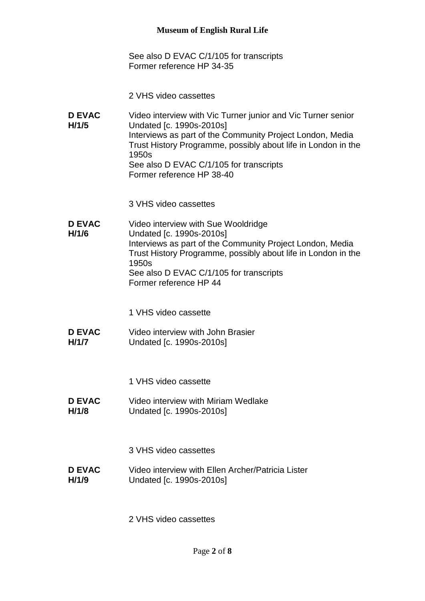See also D EVAC C/1/105 for transcripts Former reference HP 34-35

- 2 VHS video cassettes
- **D EVAC H/1/5** Video interview with Vic Turner junior and Vic Turner senior Undated [c. 1990s-2010s] Interviews as part of the Community Project London, Media Trust History Programme, possibly about life in London in the 1950s See also D EVAC C/1/105 for transcripts Former reference HP 38-40

3 VHS video cassettes

**D EVAC H/1/6** Video interview with Sue Wooldridge Undated [c. 1990s-2010s] Interviews as part of the Community Project London, Media Trust History Programme, possibly about life in London in the 1950s See also D EVAC C/1/105 for transcripts Former reference HP 44

1 VHS video cassette

**D EVAC H/1/7** Video interview with John Brasier Undated [c. 1990s-2010s]

1 VHS video cassette

**D EVAC H/1/8** Video interview with Miriam Wedlake Undated [c. 1990s-2010s]

3 VHS video cassettes

**D EVAC H/1/9** Video interview with Ellen Archer/Patricia Lister Undated [c. 1990s-2010s]

2 VHS video cassettes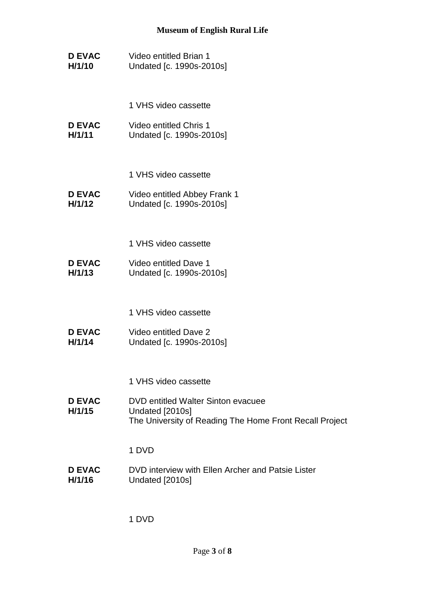- **D EVAC H/1/10** Video entitled Brian 1 Undated [c. 1990s-2010s]
	- 1 VHS video cassette
- **D EVAC H/1/11** Video entitled Chris 1 Undated [c. 1990s-2010s]
	- 1 VHS video cassette
- **D EVAC H/1/12** Video entitled Abbey Frank 1 Undated [c. 1990s-2010s]
	- 1 VHS video cassette
- **D EVAC H/1/13** Video entitled Dave 1 Undated [c. 1990s-2010s]
	- 1 VHS video cassette
- **D EVAC H/1/14** Video entitled Dave 2 Undated [c. 1990s-2010s]
	- 1 VHS video cassette
- **D EVAC H/1/15** DVD entitled Walter Sinton evacuee Undated [2010s] The University of Reading The Home Front Recall Project

1 DVD

**D EVAC H/1/16** DVD interview with Ellen Archer and Patsie Lister Undated [2010s]

1 DVD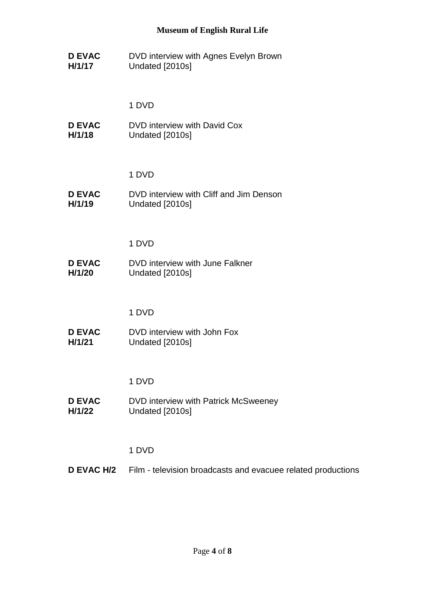**D EVAC H/1/17** DVD interview with Agnes Evelyn Brown Undated [2010s]

1 DVD

**D EVAC H/1/18** DVD interview with David Cox Undated [2010s]

1 DVD

**D EVAC H/1/19** DVD interview with Cliff and Jim Denson Undated [2010s]

1 DVD

**D EVAC H/1/20** DVD interview with June Falkner Undated [2010s]

1 DVD

**D EVAC H/1/21** DVD interview with John Fox Undated [2010s]

1 DVD

**D EVAC H/1/22** DVD interview with Patrick McSweeney Undated [2010s]

1 DVD

**D EVAC H/2** Film - television broadcasts and evacuee related productions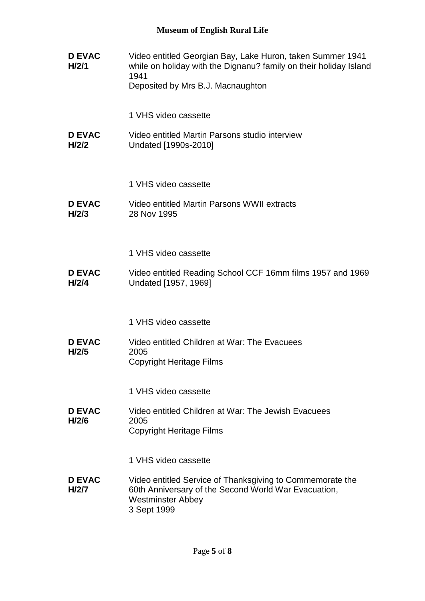| <b>D EVAC</b><br>H/2/1 | Video entitled Georgian Bay, Lake Huron, taken Summer 1941<br>while on holiday with the Dignanu? family on their holiday Island<br>1941<br>Deposited by Mrs B.J. Macnaughton |
|------------------------|------------------------------------------------------------------------------------------------------------------------------------------------------------------------------|
|                        | 1 VHS video cassette                                                                                                                                                         |
| <b>D EVAC</b><br>H/2/2 | Video entitled Martin Parsons studio interview<br>Undated [1990s-2010]                                                                                                       |
|                        | 1 VHS video cassette                                                                                                                                                         |
| <b>D EVAC</b><br>H/2/3 | Video entitled Martin Parsons WWII extracts<br>28 Nov 1995                                                                                                                   |
|                        | 1 VHS video cassette                                                                                                                                                         |
| <b>D EVAC</b><br>H/2/4 | Video entitled Reading School CCF 16mm films 1957 and 1969<br>Undated [1957, 1969]                                                                                           |
|                        | 1 VHS video cassette                                                                                                                                                         |
| <b>D EVAC</b><br>H/2/5 | Video entitled Children at War: The Evacuees<br>2005<br><b>Copyright Heritage Films</b>                                                                                      |
|                        | 1 VHS video cassette                                                                                                                                                         |
| <b>D EVAC</b><br>H/2/6 | Video entitled Children at War: The Jewish Evacuees<br>2005<br><b>Copyright Heritage Films</b>                                                                               |
|                        | 1 VHS video cassette                                                                                                                                                         |
| <b>D EVAC</b><br>H/2/7 | Video entitled Service of Thanksgiving to Commemorate the<br>60th Anniversary of the Second World War Evacuation,<br><b>Westminster Abbey</b><br>3 Sept 1999                 |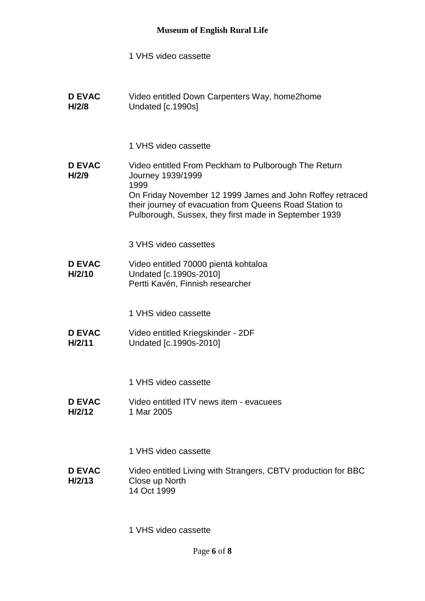- 1 VHS video cassette
- **D EVAC H/2/8** Video entitled Down Carpenters Way, home2home Undated [c.1990s]
	- 1 VHS video cassette
- **D EVAC H/2/9** Video entitled From Peckham to Pulborough The Return Journey 1939/1999 1999 On Friday November 12 1999 James and John Roffey retraced their journey of evacuation from Queens Road Station to Pulborough, Sussex, they first made in September 1939
	- 3 VHS video cassettes
- **D EVAC H/2/10** Video entitled 70000 pientä kohtaloa Undated [c.1990s-2010] Pertti Kavén, Finnish researcher
	- 1 VHS video cassette
- **D EVAC H/2/11** Video entitled Kriegskinder - 2DF Undated [c.1990s-2010]
	- 1 VHS video cassette
- **D EVAC H/2/12** Video entitled ITV news item - evacuees 1 Mar 2005
	- 1 VHS video cassette
- **D EVAC H/2/13** Video entitled Living with Strangers, CBTV production for BBC Close up North 14 Oct 1999
	- 1 VHS video cassette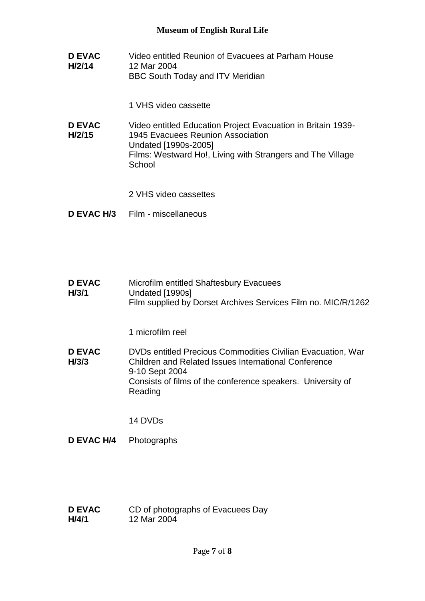**D EVAC H/2/14** Video entitled Reunion of Evacuees at Parham House 12 Mar 2004 BBC South Today and ITV Meridian

1 VHS video cassette

- **D EVAC H/2/15** Video entitled Education Project Evacuation in Britain 1939- 1945 Evacuees Reunion Association Undated [1990s-2005] Films: Westward Ho!, Living with Strangers and The Village **School** 
	- 2 VHS video cassettes
- **D EVAC H/3** Film miscellaneous
- **D EVAC H/3/1** Microfilm entitled Shaftesbury Evacuees Undated [1990s] Film supplied by Dorset Archives Services Film no. MIC/R/1262

1 microfilm reel

**D EVAC H/3/3** DVDs entitled Precious Commodities Civilian Evacuation, War Children and Related Issues International Conference 9-10 Sept 2004 Consists of films of the conference speakers. University of Reading

14 DVDs

- **D EVAC H/4** Photographs
- **D EVAC H/4/1** CD of photographs of Evacuees Day 12 Mar 2004